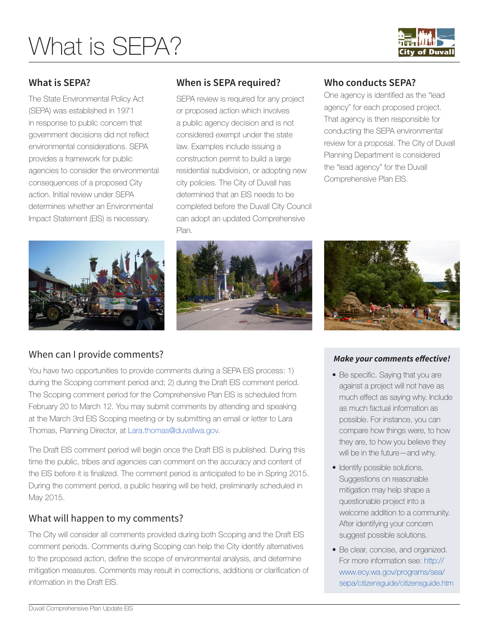# What is SEPA?



# **What is SEPA?**

The State Environmental Policy Act (SEPA) was established in 1971 in response to public concern that government decisions did not reflect environmental considerations. SEPA provides a framework for public agencies to consider the environmental consequences of a proposed City action. Initial review under SEPA determines whether an Environmental Impact Statement (EIS) is necessary.



# **When is SEPA required?**

SEPA review is required for any project or proposed action which involves a public agency decision and is not considered exempt under the state law. Examples include issuing a construction permit to build a large residential subdivision, or adopting new city policies. The City of Duvall has determined that an EIS needs to be completed before the Duvall City Council can adopt an updated Comprehensive Plan.



### **Who conducts SEPA?**

One agency is identified as the "lead agency" for each proposed project. That agency is then responsible for conducting the SEPA environmental review for a proposal. The City of Duvall Planning Department is considered the "lead agency" for the Duvall Comprehensive Plan EIS.



# When can I provide comments?

You have two opportunities to provide comments during a SEPA EIS process: 1) during the Scoping comment period and; 2) during the Draft EIS comment period. The Scoping comment period for the Comprehensive Plan EIS is scheduled from February 20 to March 12. You may submit comments by attending and speaking at the March 3rd EIS Scoping meeting or by submitting an email or letter to Lara Thomas, Planning Director, at Lara.thomas@duvallwa.gov.

The Draft EIS comment period will begin once the Draft EIS is published. During this time the public, tribes and agencies can comment on the accuracy and content of the EIS before it is finalized. The comment period is anticipated to be in Spring 2015. During the comment period, a public hearing will be held, preliminarily scheduled in May 2015.

### What will happen to my comments?

The City will consider all comments provided during both Scoping and the Draft EIS comment periods. Comments during Scoping can help the City identify alternatives to the proposed action, define the scope of environmental analysis, and determine mitigation measures. Comments may result in corrections, additions or clarification of information in the Draft EIS.

#### *Make your comments effective!*

- Be specific. Saying that you are against a project will not have as much effect as saying why. Include as much factual information as possible. For instance, you can compare how things were, to how they are, to how you believe they will be in the future—and why.
- Identify possible solutions. Suggestions on reasonable mitigation may help shape a questionable project into a welcome addition to a community. After identifying your concern suggest possible solutions.
- Be clear, concise, and organized. For more information see: [http://](http://www.ecy.wa.gov/programs/sea/sepa/citizensguide/citizensguide.htm) [www.ecy.wa.gov/programs/sea/](http://www.ecy.wa.gov/programs/sea/sepa/citizensguide/citizensguide.htm) [sepa/citizensguide/citizensguide.htm](http://www.ecy.wa.gov/programs/sea/sepa/citizensguide/citizensguide.htm)